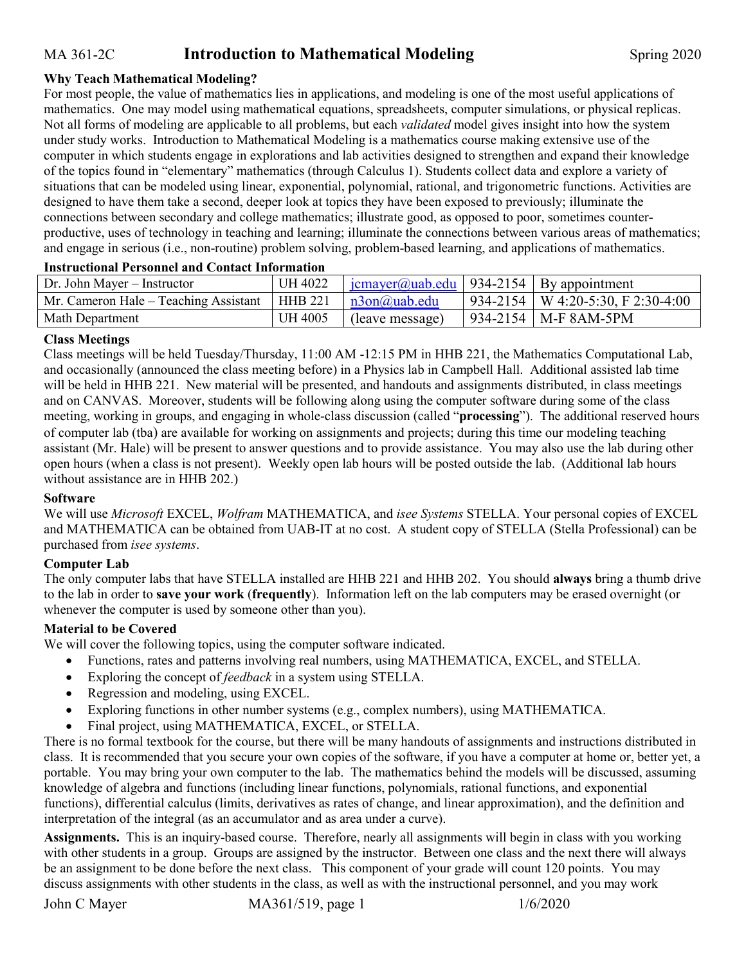# MA 361-2C **Introduction to Mathematical Modeling** Spring 2020

### **Why Teach Mathematical Modeling?**

For most people, the value of mathematics lies in applications, and modeling is one of the most useful applications of mathematics. One may model using mathematical equations, spreadsheets, computer simulations, or physical replicas. Not all forms of modeling are applicable to all problems, but each *validated* model gives insight into how the system under study works. Introduction to Mathematical Modeling is a mathematics course making extensive use of the computer in which students engage in explorations and lab activities designed to strengthen and expand their knowledge of the topics found in "elementary" mathematics (through Calculus 1). Students collect data and explore a variety of situations that can be modeled using linear, exponential, polynomial, rational, and trigonometric functions. Activities are designed to have them take a second, deeper look at topics they have been exposed to previously; illuminate the connections between secondary and college mathematics; illustrate good, as opposed to poor, sometimes counterproductive, uses of technology in teaching and learning; illuminate the connections between various areas of mathematics; and engage in serious (i.e., non-routine) problem solving, problem-based learning, and applications of mathematics.

| Dr. John Mayer – Instructor           | UH 4022        | $\frac{1}{2}$ icmayer@uab.edu   934-2154   By appointment |  |                                       |  |
|---------------------------------------|----------------|-----------------------------------------------------------|--|---------------------------------------|--|
| Mr. Cameron Hale – Teaching Assistant | HHB 221        | $n3$ on $(a)$ uab.edu                                     |  | $934-2154$   W 4:20-5:30, F 2:30-4:00 |  |
| Math Department                       | <b>UH 4005</b> | (leave message)                                           |  | $934-2154$   M-F 8AM-5PM              |  |
|                                       |                |                                                           |  |                                       |  |

#### **Instructional Personnel and Contact Information**

### **Class Meetings**

Class meetings will be held Tuesday/Thursday, 11:00 AM -12:15 PM in HHB 221, the Mathematics Computational Lab, and occasionally (announced the class meeting before) in a Physics lab in Campbell Hall. Additional assisted lab time will be held in HHB 221. New material will be presented, and handouts and assignments distributed, in class meetings and on CANVAS. Moreover, students will be following along using the computer software during some of the class meeting, working in groups, and engaging in whole-class discussion (called "**processing**"). The additional reserved hours of computer lab (tba) are available for working on assignments and projects; during this time our modeling teaching assistant (Mr. Hale) will be present to answer questions and to provide assistance. You may also use the lab during other open hours (when a class is not present). Weekly open lab hours will be posted outside the lab. (Additional lab hours without assistance are in HHB 202.)

#### **Software**

We will use *Microsoft* EXCEL, *Wolfram* MATHEMATICA, and *isee Systems* STELLA. Your personal copies of EXCEL and MATHEMATICA can be obtained from UAB-IT at no cost. A student copy of STELLA (Stella Professional) can be purchased from *isee systems*.

#### **Computer Lab**

The only computer labs that have STELLA installed are HHB 221 and HHB 202. You should **always** bring a thumb drive to the lab in order to **save your work** (**frequently**). Information left on the lab computers may be erased overnight (or whenever the computer is used by someone other than you).

#### **Material to be Covered**

We will cover the following topics, using the computer software indicated.

- Functions, rates and patterns involving real numbers, using MATHEMATICA, EXCEL, and STELLA.
- Exploring the concept of *feedback* in a system using STELLA.
- Regression and modeling, using EXCEL.
- Exploring functions in other number systems (e.g., complex numbers), using MATHEMATICA.
- Final project, using MATHEMATICA, EXCEL, or STELLA.

There is no formal textbook for the course, but there will be many handouts of assignments and instructions distributed in class. It is recommended that you secure your own copies of the software, if you have a computer at home or, better yet, a portable. You may bring your own computer to the lab. The mathematics behind the models will be discussed, assuming knowledge of algebra and functions (including linear functions, polynomials, rational functions, and exponential functions), differential calculus (limits, derivatives as rates of change, and linear approximation), and the definition and interpretation of the integral (as an accumulator and as area under a curve).

**Assignments.** This is an inquiry-based course. Therefore, nearly all assignments will begin in class with you working with other students in a group. Groups are assigned by the instructor. Between one class and the next there will always be an assignment to be done before the next class. This component of your grade will count 120 points. You may discuss assignments with other students in the class, as well as with the instructional personnel, and you may work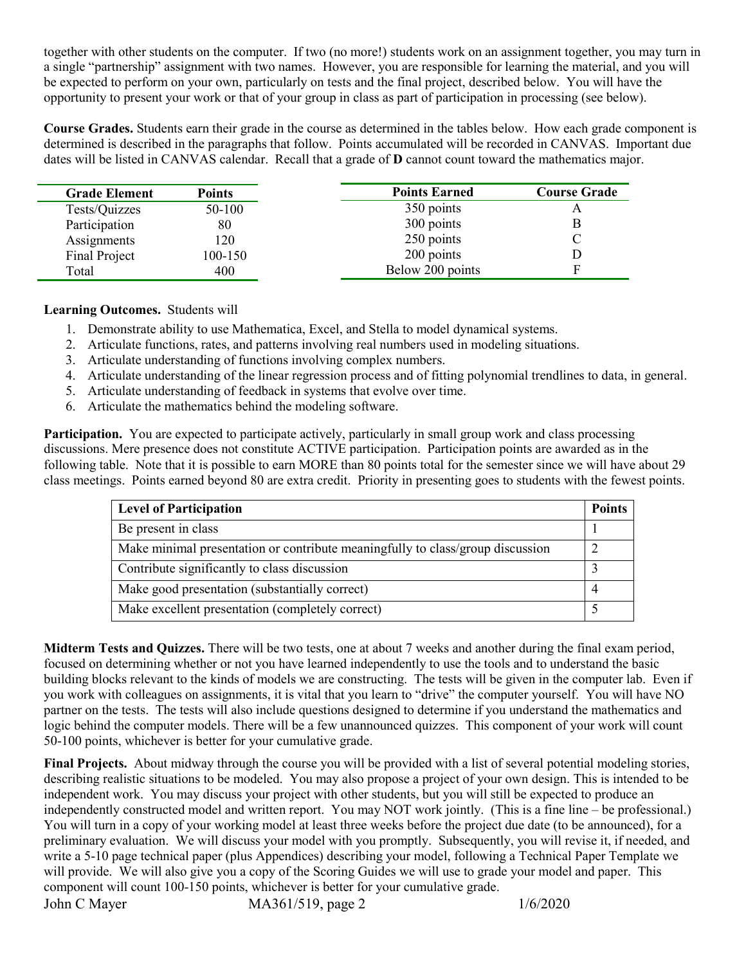together with other students on the computer. If two (no more!) students work on an assignment together, you may turn in a single "partnership" assignment with two names. However, you are responsible for learning the material, and you will be expected to perform on your own, particularly on tests and the final project, described below. You will have the opportunity to present your work or that of your group in class as part of participation in processing (see below).

**Course Grades.** Students earn their grade in the course as determined in the tables below. How each grade component is determined is described in the paragraphs that follow. Points accumulated will be recorded in CANVAS. Important due dates will be listed in CANVAS calendar. Recall that a grade of **D** cannot count toward the mathematics major.

| <b>Grade Element</b> | <b>Points</b> | <b>Points Earned</b> | <b>Course Grade</b> |
|----------------------|---------------|----------------------|---------------------|
| Tests/Quizzes        | 50-100        | 350 points           |                     |
| Participation        | 80            | 300 points           |                     |
| Assignments          | 20            | 250 points           |                     |
| <b>Final Project</b> | 100-150       | 200 points           |                     |
| Total                | 400           | Below 200 points     |                     |

# **Learning Outcomes.** Students will

- 1. Demonstrate ability to use Mathematica, Excel, and Stella to model dynamical systems.
- 2. Articulate functions, rates, and patterns involving real numbers used in modeling situations.
- 3. Articulate understanding of functions involving complex numbers.
- 4. Articulate understanding of the linear regression process and of fitting polynomial trendlines to data, in general.
- 5. Articulate understanding of feedback in systems that evolve over time.
- 6. Articulate the mathematics behind the modeling software.

**Participation.** You are expected to participate actively, particularly in small group work and class processing discussions. Mere presence does not constitute ACTIVE participation. Participation points are awarded as in the following table. Note that it is possible to earn MORE than 80 points total for the semester since we will have about 29 class meetings. Points earned beyond 80 are extra credit. Priority in presenting goes to students with the fewest points.

| <b>Level of Participation</b>                                                  | <b>Points</b> |
|--------------------------------------------------------------------------------|---------------|
| Be present in class                                                            |               |
| Make minimal presentation or contribute meaningfully to class/group discussion |               |
| Contribute significantly to class discussion                                   |               |
| Make good presentation (substantially correct)                                 |               |
| Make excellent presentation (completely correct)                               |               |

**Midterm Tests and Quizzes.** There will be two tests, one at about 7 weeks and another during the final exam period, focused on determining whether or not you have learned independently to use the tools and to understand the basic building blocks relevant to the kinds of models we are constructing. The tests will be given in the computer lab. Even if you work with colleagues on assignments, it is vital that you learn to "drive" the computer yourself. You will have NO partner on the tests. The tests will also include questions designed to determine if you understand the mathematics and logic behind the computer models. There will be a few unannounced quizzes. This component of your work will count 50-100 points, whichever is better for your cumulative grade.

**Final Projects.** About midway through the course you will be provided with a list of several potential modeling stories, describing realistic situations to be modeled. You may also propose a project of your own design. This is intended to be independent work. You may discuss your project with other students, but you will still be expected to produce an independently constructed model and written report. You may NOT work jointly. (This is a fine line – be professional.) You will turn in a copy of your working model at least three weeks before the project due date (to be announced), for a preliminary evaluation. We will discuss your model with you promptly. Subsequently, you will revise it, if needed, and write a 5-10 page technical paper (plus Appendices) describing your model, following a Technical Paper Template we will provide. We will also give you a copy of the Scoring Guides we will use to grade your model and paper. This component will count 100-150 points, whichever is better for your cumulative grade.

John C Mayer MA361/519, page 2 1/6/2020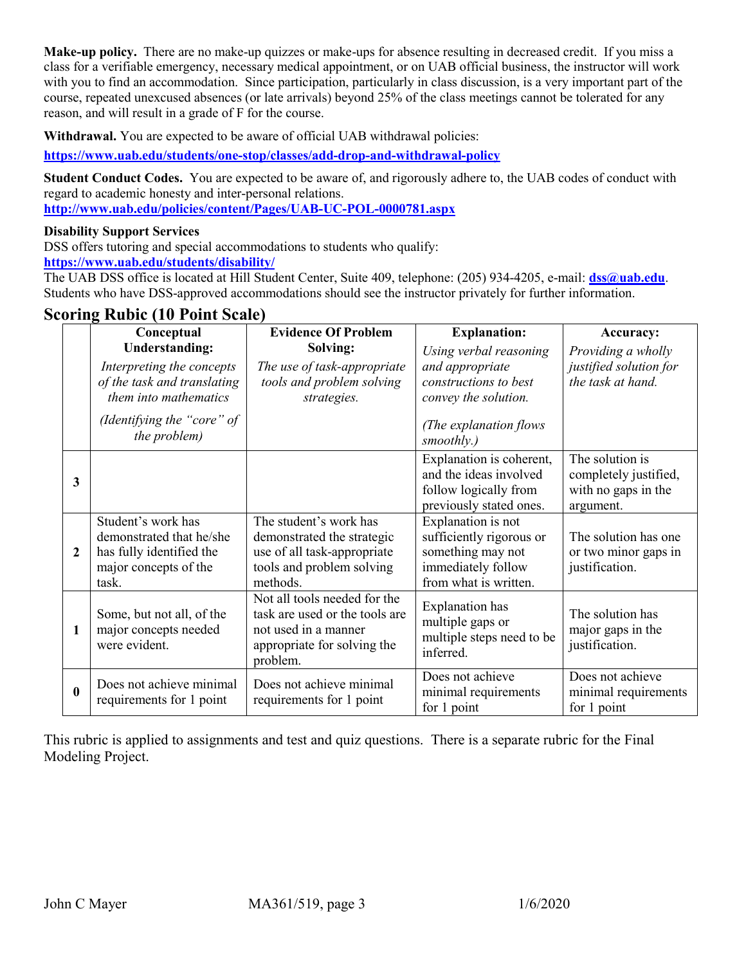**Make-up policy.** There are no make-up quizzes or make-ups for absence resulting in decreased credit. If you miss a class for a verifiable emergency, necessary medical appointment, or on UAB official business, the instructor will work with you to find an accommodation. Since participation, particularly in class discussion, is a very important part of the course, repeated unexcused absences (or late arrivals) beyond 25% of the class meetings cannot be tolerated for any reason, and will result in a grade of F for the course.

**Withdrawal.** You are expected to be aware of official UAB withdrawal policies:

**<https://www.uab.edu/students/one-stop/classes/add-drop-and-withdrawal-policy>**

**Student Conduct Codes.** You are expected to be aware of, and rigorously adhere to, the UAB codes of conduct with regard to academic honesty and inter-personal relations. **<http://www.uab.edu/policies/content/Pages/UAB-UC-POL-0000781.aspx>**

## **Disability Support Services**

DSS offers tutoring and special accommodations to students who qualify:

**<https://www.uab.edu/students/disability/>**

The UAB DSS office is located at Hill Student Center, Suite 409, telephone: (205) 934-4205, e-mail: **[dss@uab.edu](mailto:dss@uab.edu)**. Students who have DSS-approved accommodations should see the instructor privately for further information.

|                         | Conceptual                                                                                                   | <b>Evidence Of Problem</b>                                                                                                        | <b>Explanation:</b>                                                                                                | <b>Accuracy:</b>                                                             |
|-------------------------|--------------------------------------------------------------------------------------------------------------|-----------------------------------------------------------------------------------------------------------------------------------|--------------------------------------------------------------------------------------------------------------------|------------------------------------------------------------------------------|
|                         | <b>Understanding:</b><br>Interpreting the concepts<br>of the task and translating<br>them into mathematics   | Solving:<br>The use of task-appropriate<br>tools and problem solving<br>strategies.                                               | Using verbal reasoning<br>and appropriate<br>constructions to best<br>convey the solution.                         | Providing a wholly<br>justified solution for<br>the task at hand.            |
|                         | (Identifying the "core" of<br>the problem)                                                                   |                                                                                                                                   | (The explanation flows<br>smoothly.)                                                                               |                                                                              |
| $\overline{\mathbf{3}}$ |                                                                                                              |                                                                                                                                   | Explanation is coherent,<br>and the ideas involved<br>follow logically from<br>previously stated ones.             | The solution is<br>completely justified,<br>with no gaps in the<br>argument. |
| $\overline{2}$          | Student's work has<br>demonstrated that he/she<br>has fully identified the<br>major concepts of the<br>task. | The student's work has<br>demonstrated the strategic<br>use of all task-appropriate<br>tools and problem solving<br>methods.      | Explanation is not<br>sufficiently rigorous or<br>something may not<br>immediately follow<br>from what is written. | The solution has one<br>or two minor gaps in<br>justification.               |
| 1                       | Some, but not all, of the<br>major concepts needed<br>were evident.                                          | Not all tools needed for the<br>task are used or the tools are<br>not used in a manner<br>appropriate for solving the<br>problem. | <b>Explanation</b> has<br>multiple gaps or<br>multiple steps need to be<br>inferred.                               | The solution has<br>major gaps in the<br>justification.                      |
| $\bf{0}$                | Does not achieve minimal<br>requirements for 1 point                                                         | Does not achieve minimal<br>requirements for 1 point                                                                              | Does not achieve<br>minimal requirements<br>for 1 point                                                            | Does not achieve<br>minimal requirements<br>for 1 point                      |

This rubric is applied to assignments and test and quiz questions. There is a separate rubric for the Final Modeling Project.